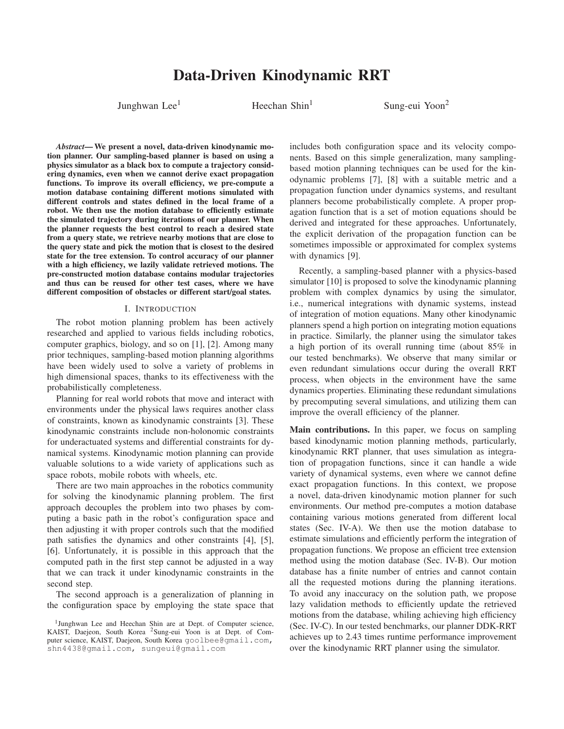# Data-Driven Kinodynamic RRT

Junghwan Lee<sup>1</sup> Heechan Shin<sup>1</sup> Sung-eui Yoon<sup>2</sup>

*Abstract*— We present a novel, data-driven kinodynamic motion planner. Our sampling-based planner is based on using a physics simulator as a black box to compute a trajectory considering dynamics, even when we cannot derive exact propagation functions. To improve its overall efficiency, we pre-compute a motion database containing different motions simulated with different controls and states defined in the local frame of a robot. We then use the motion database to efficiently estimate the simulated trajectory during iterations of our planner. When the planner requests the best control to reach a desired state from a query state, we retrieve nearby motions that are close to the query state and pick the motion that is closest to the desired state for the tree extension. To control accuracy of our planner with a high efficiency, we lazily validate retrieved motions. The pre-constructed motion database contains modular trajectories and thus can be reused for other test cases, where we have different composition of obstacles or different start/goal states.

#### I. INTRODUCTION

The robot motion planning problem has been actively researched and applied to various fields including robotics, computer graphics, biology, and so on [1], [2]. Among many prior techniques, sampling-based motion planning algorithms have been widely used to solve a variety of problems in high dimensional spaces, thanks to its effectiveness with the probabilistically completeness.

Planning for real world robots that move and interact with environments under the physical laws requires another class of constraints, known as kinodynamic constraints [3]. These kinodynamic constraints include non-holonomic constraints for underactuated systems and differential constraints for dynamical systems. Kinodynamic motion planning can provide valuable solutions to a wide variety of applications such as space robots, mobile robots with wheels, etc.

There are two main approaches in the robotics community for solving the kinodynamic planning problem. The first approach decouples the problem into two phases by computing a basic path in the robot's configuration space and then adjusting it with proper controls such that the modified path satisfies the dynamics and other constraints [4], [5], [6]. Unfortunately, it is possible in this approach that the computed path in the first step cannot be adjusted in a way that we can track it under kinodynamic constraints in the second step.

The second approach is a generalization of planning in the configuration space by employing the state space that includes both configuration space and its velocity components. Based on this simple generalization, many samplingbased motion planning techniques can be used for the kinodynamic problems [7], [8] with a suitable metric and a propagation function under dynamics systems, and resultant planners become probabilistically complete. A proper propagation function that is a set of motion equations should be derived and integrated for these approaches. Unfortunately, the explicit derivation of the propagation function can be sometimes impossible or approximated for complex systems with dynamics [9].

Recently, a sampling-based planner with a physics-based simulator [10] is proposed to solve the kinodynamic planning problem with complex dynamics by using the simulator, i.e., numerical integrations with dynamic systems, instead of integration of motion equations. Many other kinodynamic planners spend a high portion on integrating motion equations in practice. Similarly, the planner using the simulator takes a high portion of its overall running time (about 85% in our tested benchmarks). We observe that many similar or even redundant simulations occur during the overall RRT process, when objects in the environment have the same dynamics properties. Eliminating these redundant simulations by precomputing several simulations, and utilizing them can improve the overall efficiency of the planner.

Main contributions. In this paper, we focus on sampling based kinodynamic motion planning methods, particularly, kinodynamic RRT planner, that uses simulation as integration of propagation functions, since it can handle a wide variety of dynamical systems, even where we cannot define exact propagation functions. In this context, we propose a novel, data-driven kinodynamic motion planner for such environments. Our method pre-computes a motion database containing various motions generated from different local states (Sec. IV-A). We then use the motion database to estimate simulations and efficiently perform the integration of propagation functions. We propose an efficient tree extension method using the motion database (Sec. IV-B). Our motion database has a finite number of entries and cannot contain all the requested motions during the planning iterations. To avoid any inaccuracy on the solution path, we propose lazy validation methods to efficiently update the retrieved motions from the database, whiling achieving high efficiency (Sec. IV-C). In our tested benchmarks, our planner DDK-RRT achieves up to 2.43 times runtime performance improvement over the kinodynamic RRT planner using the simulator.

<sup>1</sup>Junghwan Lee and Heechan Shin are at Dept. of Computer science, KAIST, Daejeon, South Korea 2Sung-eui Yoon is at Dept. of Computer science, KAIST, Daejeon, South Korea goolbee@gmail.com, shn4438@gmail.com, sungeui@gmail.com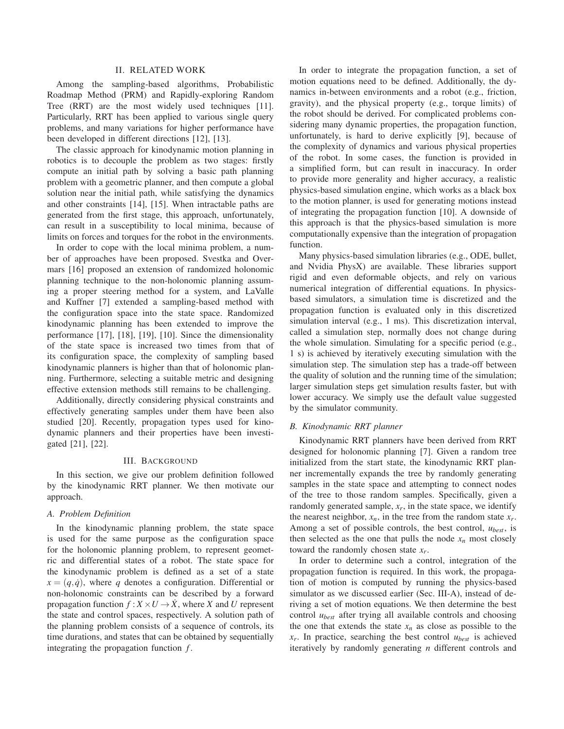## II. RELATED WORK

Among the sampling-based algorithms, Probabilistic Roadmap Method (PRM) and Rapidly-exploring Random Tree (RRT) are the most widely used techniques [11]. Particularly, RRT has been applied to various single query problems, and many variations for higher performance have been developed in different directions [12], [13].

The classic approach for kinodynamic motion planning in robotics is to decouple the problem as two stages: firstly compute an initial path by solving a basic path planning problem with a geometric planner, and then compute a global solution near the initial path, while satisfying the dynamics and other constraints [14], [15]. When intractable paths are generated from the first stage, this approach, unfortunately, can result in a susceptibility to local minima, because of limits on forces and torques for the robot in the environments.

In order to cope with the local minima problem, a number of approaches have been proposed. Svestka and Overmars [16] proposed an extension of randomized holonomic planning technique to the non-holonomic planning assuming a proper steering method for a system, and LaValle and Kuffner [7] extended a sampling-based method with the configuration space into the state space. Randomized kinodynamic planning has been extended to improve the performance [17], [18], [19], [10]. Since the dimensionality of the state space is increased two times from that of its configuration space, the complexity of sampling based kinodynamic planners is higher than that of holonomic planning. Furthermore, selecting a suitable metric and designing effective extension methods still remains to be challenging.

Additionally, directly considering physical constraints and effectively generating samples under them have been also studied [20]. Recently, propagation types used for kinodynamic planners and their properties have been investigated [21], [22].

## III. BACKGROUND

In this section, we give our problem definition followed by the kinodynamic RRT planner. We then motivate our approach.

#### *A. Problem Definition*

In the kinodynamic planning problem, the state space is used for the same purpose as the configuration space for the holonomic planning problem, to represent geometric and differential states of a robot. The state space for the kinodynamic problem is defined as a set of a state  $x = (q, \dot{q})$ , where *q* denotes a configuration. Differential or non-holonomic constraints can be described by a forward propagation function  $f: X \times U \rightarrow X$ , where *X* and *U* represent the state and control spaces, respectively. A solution path of the planning problem consists of a sequence of controls, its time durations, and states that can be obtained by sequentially integrating the propagation function *f* .

In order to integrate the propagation function, a set of motion equations need to be defined. Additionally, the dynamics in-between environments and a robot (e.g., friction, gravity), and the physical property (e.g., torque limits) of the robot should be derived. For complicated problems considering many dynamic properties, the propagation function, unfortunately, is hard to derive explicitly [9], because of the complexity of dynamics and various physical properties of the robot. In some cases, the function is provided in a simplified form, but can result in inaccuracy. In order to provide more generality and higher accuracy, a realistic physics-based simulation engine, which works as a black box to the motion planner, is used for generating motions instead of integrating the propagation function [10]. A downside of this approach is that the physics-based simulation is more computationally expensive than the integration of propagation function.

Many physics-based simulation libraries (e.g., ODE, bullet, and Nvidia PhysX) are available. These libraries support rigid and even deformable objects, and rely on various numerical integration of differential equations. In physicsbased simulators, a simulation time is discretized and the propagation function is evaluated only in this discretized simulation interval (e.g., 1 ms). This discretization interval, called a simulation step, normally does not change during the whole simulation. Simulating for a specific period (e.g., 1 s) is achieved by iteratively executing simulation with the simulation step. The simulation step has a trade-off between the quality of solution and the running time of the simulation; larger simulation steps get simulation results faster, but with lower accuracy. We simply use the default value suggested by the simulator community.

# *B. Kinodynamic RRT planner*

Kinodynamic RRT planners have been derived from RRT designed for holonomic planning [7]. Given a random tree initialized from the start state, the kinodynamic RRT planner incrementally expands the tree by randomly generating samples in the state space and attempting to connect nodes of the tree to those random samples. Specifically, given a randomly generated sample,  $x_r$ , in the state space, we identify the nearest neighbor,  $x_n$ , in the tree from the random state  $x_r$ . Among a set of possible controls, the best control, *ubest*, is then selected as the one that pulls the node  $x_n$  most closely toward the randomly chosen state *xr*.

In order to determine such a control, integration of the propagation function is required. In this work, the propagation of motion is computed by running the physics-based simulator as we discussed earlier (Sec. III-A), instead of deriving a set of motion equations. We then determine the best control *ubest* after trying all available controls and choosing the one that extends the state  $x_n$  as close as possible to the *xr*. In practice, searching the best control *ubest* is achieved iteratively by randomly generating *n* different controls and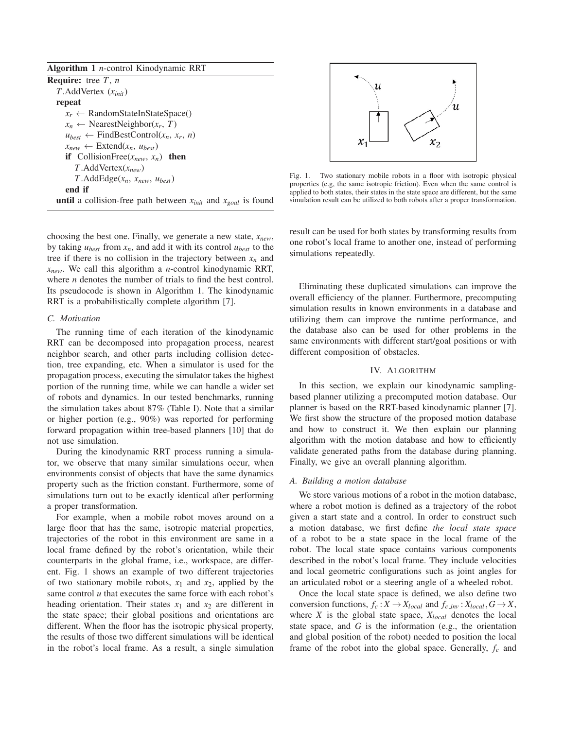| <b>Algorithm 1</b> <i>n</i> -control Kinodynamic RRT                          |
|-------------------------------------------------------------------------------|
| <b>Require:</b> tree $T$ , $n$                                                |
| $T$ . Add Vertex $(x_{init})$                                                 |
| repeat                                                                        |
| $x_r \leftarrow$ RandomStateInStateSpace()                                    |
| $x_n \leftarrow$ NearestNeighbor $(x_r, T)$                                   |
| $u_{best} \leftarrow$ FindBestControl( $x_n, x_r, n$ )                        |
| $x_{new} \leftarrow$ Extend $(x_n, u_{best})$                                 |
| <b>if</b> CollisionFree( $x_{new}$ , $x_n$ ) <b>then</b>                      |
| $T$ . Add Vertex $(x_{new})$                                                  |
| $T.\text{AddEdge}(x_n, x_{new}, u_{best})$                                    |
| end if                                                                        |
| <b>until</b> a collision-free path between $x_{init}$ and $x_{goal}$ is found |
|                                                                               |

choosing the best one. Finally, we generate a new state,  $x_{new}$ , by taking  $u_{best}$  from  $x_n$ , and add it with its control  $u_{best}$  to the tree if there is no collision in the trajectory between  $x_n$  and *xnew*. We call this algorithm a *n*-control kinodynamic RRT, where *n* denotes the number of trials to find the best control. Its pseudocode is shown in Algorithm 1. The kinodynamic RRT is a probabilistically complete algorithm [7].

## *C. Motivation*

The running time of each iteration of the kinodynamic RRT can be decomposed into propagation process, nearest neighbor search, and other parts including collision detection, tree expanding, etc. When a simulator is used for the propagation process, executing the simulator takes the highest portion of the running time, while we can handle a wider set of robots and dynamics. In our tested benchmarks, running the simulation takes about 87% (Table I). Note that a similar or higher portion (e.g., 90%) was reported for performing forward propagation within tree-based planners [10] that do not use simulation.

During the kinodynamic RRT process running a simulator, we observe that many similar simulations occur, when environments consist of objects that have the same dynamics property such as the friction constant. Furthermore, some of simulations turn out to be exactly identical after performing a proper transformation.

For example, when a mobile robot moves around on a large floor that has the same, isotropic material properties, trajectories of the robot in this environment are same in a local frame defined by the robot's orientation, while their counterparts in the global frame, i.e., workspace, are different. Fig. 1 shows an example of two different trajectories of two stationary mobile robots,  $x_1$  and  $x_2$ , applied by the same control *u* that executes the same force with each robot's heading orientation. Their states  $x_1$  and  $x_2$  are different in the state space; their global positions and orientations are different. When the floor has the isotropic physical property, the results of those two different simulations will be identical in the robot's local frame. As a result, a single simulation



Fig. 1. Two stationary mobile robots in a floor with isotropic physical properties (e.g, the same isotropic friction). Even when the same control is applied to both states, their states in the state space are different, but the same simulation result can be utilized to both robots after a proper transformation.

result can be used for both states by transforming results from one robot's local frame to another one, instead of performing simulations repeatedly.

Eliminating these duplicated simulations can improve the overall efficiency of the planner. Furthermore, precomputing simulation results in known environments in a database and utilizing them can improve the runtime performance, and the database also can be used for other problems in the same environments with different start/goal positions or with different composition of obstacles.

# IV. ALGORITHM

In this section, we explain our kinodynamic samplingbased planner utilizing a precomputed motion database. Our planner is based on the RRT-based kinodynamic planner [7]. We first show the structure of the proposed motion database and how to construct it. We then explain our planning algorithm with the motion database and how to efficiently validate generated paths from the database during planning. Finally, we give an overall planning algorithm.

# *A. Building a motion database*

We store various motions of a robot in the motion database, where a robot motion is defined as a trajectory of the robot given a start state and a control. In order to construct such a motion database, we first define *the local state space* of a robot to be a state space in the local frame of the robot. The local state space contains various components described in the robot's local frame. They include velocities and local geometric configurations such as joint angles for an articulated robot or a steering angle of a wheeled robot.

Once the local state space is defined, we also define two conversion functions,  $f_c: X \to X_{local}$  and  $f_{c\_inv}: X_{local}, G \to X$ , where *X* is the global state space, *Xlocal* denotes the local state space, and *G* is the information (e.g., the orientation and global position of the robot) needed to position the local frame of the robot into the global space. Generally, *fc* and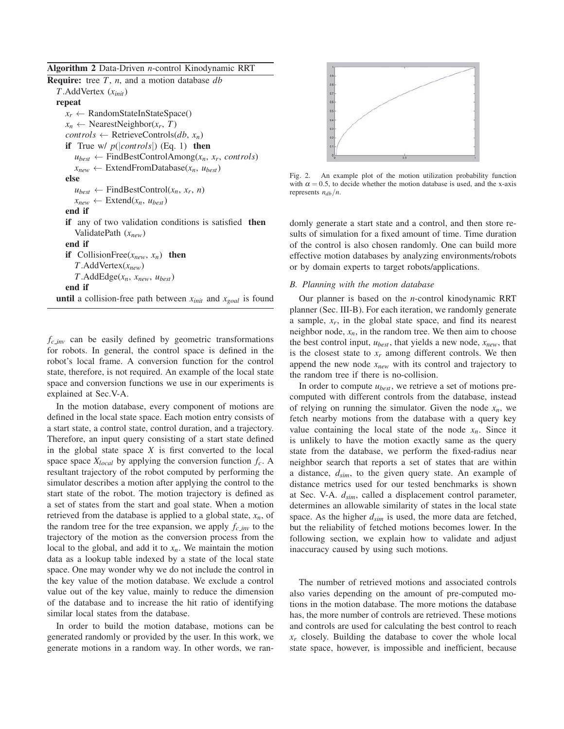Algorithm 2 Data-Driven *n*-control Kinodynamic RRT

Require: tree *T*, *n*, and a motion database *db T*.AddVertex (*xinit*) repeat  $x_r \leftarrow$  RandomStateInStateSpace()  $x_n \leftarrow$  NearestNeighbor( $x_r$ , *T*)  $controls \leftarrow$  RetrieveControls( $db, x_n$ ) if True w/  $p(|controls|)$  (Eq. 1) then  $u_{best} \leftarrow$  FindBestControlAmong( $x_n$ ,  $x_r$ , *controls*)  $x_{new} \leftarrow$  ExtendFromDatabase( $x_n$ ,  $u_{best}$ ) else  $u_{best} \leftarrow$  FindBestControl( $x_n, x_r, n$ )  $x_{new} \leftarrow$  Extend $(x_n, u_{best})$ end if if any of two validation conditions is satisfied then ValidatePath (*xnew*) end if if CollisionFree( $x_{new}$ ,  $x_n$ ) then *T*.AddVertex(*xnew*)  $T$ .AddEdge( $x_n$ ,  $x_{new}$ ,  $u_{best}$ ) end if **until** a collision-free path between  $x_{init}$  and  $x_{goal}$  is found

 $f_{c}$  *inv* can be easily defined by geometric transformations for robots. In general, the control space is defined in the robot's local frame. A conversion function for the control state, therefore, is not required. An example of the local state space and conversion functions we use in our experiments is explained at Sec.V-A.

In the motion database, every component of motions are defined in the local state space. Each motion entry consists of a start state, a control state, control duration, and a trajectory. Therefore, an input query consisting of a start state defined in the global state space  $X$  is first converted to the local space space  $X_{local}$  by applying the conversion function  $f_c$ . A resultant trajectory of the robot computed by performing the simulator describes a motion after applying the control to the start state of the robot. The motion trajectory is defined as a set of states from the start and goal state. When a motion retrieved from the database is applied to a global state,  $x_n$ , of the random tree for the tree expansion, we apply  $f_{c\_inv}$  to the trajectory of the motion as the conversion process from the local to the global, and add it to  $x_n$ . We maintain the motion data as a lookup table indexed by a state of the local state space. One may wonder why we do not include the control in the key value of the motion database. We exclude a control value out of the key value, mainly to reduce the dimension of the database and to increase the hit ratio of identifying similar local states from the database.

In order to build the motion database, motions can be generated randomly or provided by the user. In this work, we generate motions in a random way. In other words, we ran-



Fig. 2. An example plot of the motion utilization probability function with  $\alpha = 0.5$ , to decide whether the motion database is used, and the x-axis represents  $n_{db}/n$ .

domly generate a start state and a control, and then store results of simulation for a fixed amount of time. Time duration of the control is also chosen randomly. One can build more effective motion databases by analyzing environments/robots or by domain experts to target robots/applications.

## *B. Planning with the motion database*

Our planner is based on the *n*-control kinodynamic RRT planner (Sec. III-B). For each iteration, we randomly generate a sample,  $x_r$ , in the global state space, and find its nearest neighbor node,  $x_n$ , in the random tree. We then aim to choose the best control input,  $u_{best}$ , that yields a new node,  $x_{new}$ , that is the closest state to  $x_r$  among different controls. We then append the new node *xnew* with its control and trajectory to the random tree if there is no-collision.

In order to compute *ubest*, we retrieve a set of motions precomputed with different controls from the database, instead of relying on running the simulator. Given the node  $x_n$ , we fetch nearby motions from the database with a query key value containing the local state of the node  $x_n$ . Since it is unlikely to have the motion exactly same as the query state from the database, we perform the fixed-radius near neighbor search that reports a set of states that are within a distance, *dsim*, to the given query state. An example of distance metrics used for our tested benchmarks is shown at Sec. V-A. *dsim*, called a displacement control parameter, determines an allowable similarity of states in the local state space. As the higher  $d_{sim}$  is used, the more data are fetched, but the reliability of fetched motions becomes lower. In the following section, we explain how to validate and adjust inaccuracy caused by using such motions.

The number of retrieved motions and associated controls also varies depending on the amount of pre-computed motions in the motion database. The more motions the database has, the more number of controls are retrieved. These motions and controls are used for calculating the best control to reach *xr* closely. Building the database to cover the whole local state space, however, is impossible and inefficient, because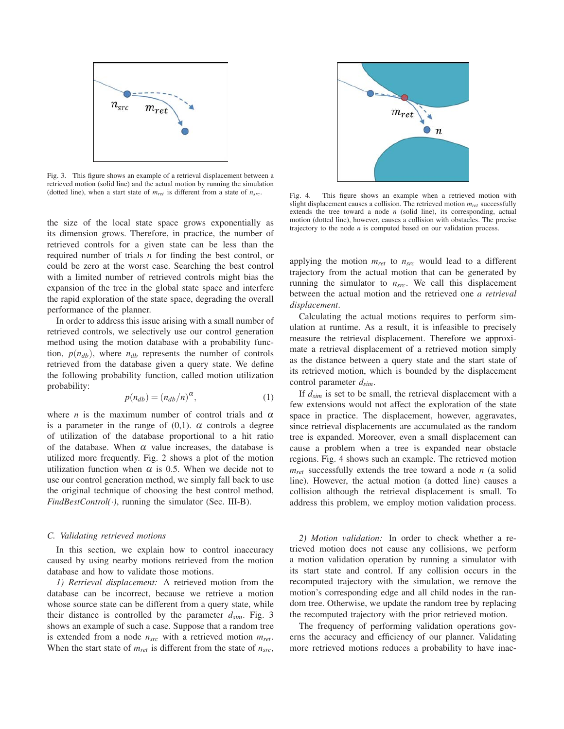

Fig. 3. This figure shows an example of a retrieval displacement between a retrieved motion (solid line) and the actual motion by running the simulation (dotted line), when a start state of  $m_{ret}$  is different from a state of  $n_{src}$ .

the size of the local state space grows exponentially as its dimension grows. Therefore, in practice, the number of retrieved controls for a given state can be less than the required number of trials *n* for finding the best control, or could be zero at the worst case. Searching the best control with a limited number of retrieved controls might bias the expansion of the tree in the global state space and interfere the rapid exploration of the state space, degrading the overall performance of the planner.

In order to address this issue arising with a small number of retrieved controls, we selectively use our control generation method using the motion database with a probability function,  $p(n_{db})$ , where  $n_{db}$  represents the number of controls retrieved from the database given a query state. We define the following probability function, called motion utilization probability:

$$
p(n_{db}) = (n_{db}/n)^{\alpha},\tag{1}
$$

where *n* is the maximum number of control trials and  $\alpha$ is a parameter in the range of  $(0,1)$ .  $\alpha$  controls a degree of utilization of the database proportional to a hit ratio of the database. When  $\alpha$  value increases, the database is utilized more frequently. Fig. 2 shows a plot of the motion utilization function when  $\alpha$  is 0.5. When we decide not to use our control generation method, we simply fall back to use the original technique of choosing the best control method, *FindBestControl(*·*)*, running the simulator (Sec. III-B).

# *C. Validating retrieved motions*

In this section, we explain how to control inaccuracy caused by using nearby motions retrieved from the motion database and how to validate those motions.

*1) Retrieval displacement:* A retrieved motion from the database can be incorrect, because we retrieve a motion whose source state can be different from a query state, while their distance is controlled by the parameter  $d_{sim}$ . Fig. 3 shows an example of such a case. Suppose that a random tree is extended from a node *nsrc* with a retrieved motion *mret*. When the start state of  $m_{ret}$  is different from the state of  $n_{src}$ ,



Fig. 4. This figure shows an example when a retrieved motion with slight displacement causes a collision. The retrieved motion *mret* successfully extends the tree toward a node  $n$  (solid line), its corresponding, actual motion (dotted line), however, causes a collision with obstacles. The precise trajectory to the node *n* is computed based on our validation process.

applying the motion *mret* to *nsrc* would lead to a different trajectory from the actual motion that can be generated by running the simulator to *nsrc*. We call this displacement between the actual motion and the retrieved one *a retrieval displacement*.

Calculating the actual motions requires to perform simulation at runtime. As a result, it is infeasible to precisely measure the retrieval displacement. Therefore we approximate a retrieval displacement of a retrieved motion simply as the distance between a query state and the start state of its retrieved motion, which is bounded by the displacement control parameter *dsim*.

If *dsim* is set to be small, the retrieval displacement with a few extensions would not affect the exploration of the state space in practice. The displacement, however, aggravates, since retrieval displacements are accumulated as the random tree is expanded. Moreover, even a small displacement can cause a problem when a tree is expanded near obstacle regions. Fig. 4 shows such an example. The retrieved motion *mret* successfully extends the tree toward a node *n* (a solid line). However, the actual motion (a dotted line) causes a collision although the retrieval displacement is small. To address this problem, we employ motion validation process.

*2) Motion validation:* In order to check whether a retrieved motion does not cause any collisions, we perform a motion validation operation by running a simulator with its start state and control. If any collision occurs in the recomputed trajectory with the simulation, we remove the motion's corresponding edge and all child nodes in the random tree. Otherwise, we update the random tree by replacing the recomputed trajectory with the prior retrieved motion.

The frequency of performing validation operations governs the accuracy and efficiency of our planner. Validating more retrieved motions reduces a probability to have inac-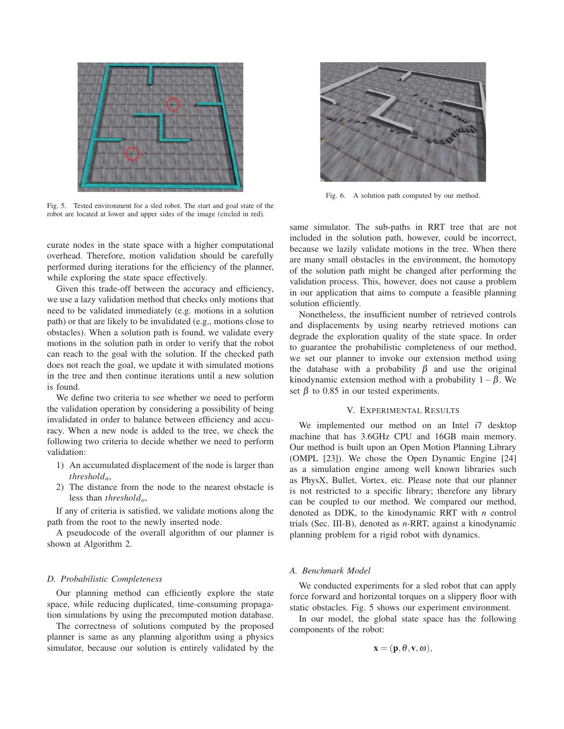

Fig. 5. Tested environment for a sled robot. The start and goal state of the robot are located at lower and upper sides of the image (circled in red).

curate nodes in the state space with a higher computational overhead. Therefore, motion validation should be carefully performed during iterations for the efficiency of the planner, while exploring the state space effectively.

Given this trade-off between the accuracy and efficiency, we use a lazy validation method that checks only motions that need to be validated immediately (e.g. motions in a solution path) or that are likely to be invalidated (e.g., motions close to obstacles). When a solution path is found, we validate every motions in the solution path in order to verify that the robot can reach to the goal with the solution. If the checked path does not reach the goal, we update it with simulated motions in the tree and then continue iterations until a new solution is found.

We define two criteria to see whether we need to perform the validation operation by considering a possibility of being invalidated in order to balance between efficiency and accuracy. When a new node is added to the tree, we check the following two criteria to decide whether we need to perform validation:

- 1) An accumulated displacement of the node is larger than *thresholda*,
- 2) The distance from the node to the nearest obstacle is less than *thresholdo*,

If any of criteria is satisfied, we validate motions along the path from the root to the newly inserted node.

A pseudocode of the overall algorithm of our planner is shown at Algorithm 2.

## *D. Probabilistic Completeness*

Our planning method can efficiently explore the state space, while reducing duplicated, time-consuming propagation simulations by using the precomputed motion database.

The correctness of solutions computed by the proposed planner is same as any planning algorithm using a physics simulator, because our solution is entirely validated by the



Fig. 6. A solution path computed by our method.

same simulator. The sub-paths in RRT tree that are not included in the solution path, however, could be incorrect, because we lazily validate motions in the tree. When there are many small obstacles in the environment, the homotopy of the solution path might be changed after performing the validation process. This, however, does not cause a problem in our application that aims to compute a feasible planning solution efficiently.

Nonetheless, the insufficient number of retrieved controls and displacements by using nearby retrieved motions can degrade the exploration quality of the state space. In order to guarantee the probabilistic completeness of our method, we set our planner to invoke our extension method using the database with a probability  $\beta$  and use the original kinodynamic extension method with a probability  $1-\beta$ . We set  $\beta$  to 0.85 in our tested experiments.

## V. EXPERIMENTAL RESULTS

We implemented our method on an Intel i7 desktop machine that has 3.6GHz CPU and 16GB main memory. Our method is built upon an Open Motion Planning Library (OMPL [23]). We chose the Open Dynamic Engine [24] as a simulation engine among well known libraries such as PhysX, Bullet, Vortex, etc. Please note that our planner is not restricted to a specific library; therefore any library can be coupled to our method. We compared our method, denoted as DDK, to the kinodynamic RRT with *n* control trials (Sec. III-B), denoted as *n*-RRT, against a kinodynamic planning problem for a rigid robot with dynamics.

## *A. Benchmark Model*

We conducted experiments for a sled robot that can apply force forward and horizontal torques on a slippery floor with static obstacles. Fig. 5 shows our experiment environment.

In our model, the global state space has the following components of the robot:

$$
\mathbf{x} = (\mathbf{p}, \theta, \mathbf{v}, \boldsymbol{\omega}),
$$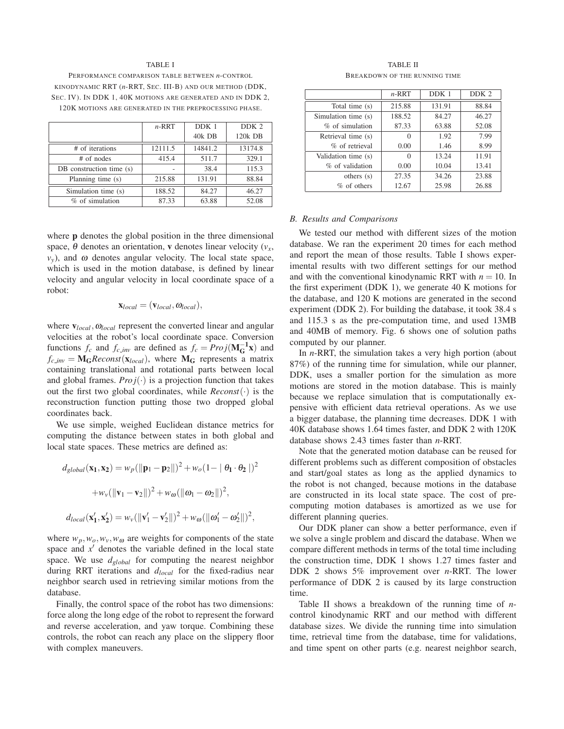#### TABLE I

PERFORMANCE COMPARISON TABLE BETWEEN *n*-CONTROL KINODYNAMIC RRT (*n*-RRT, SEC. III-B) AND OUR METHOD (DDK, SEC. IV). IN DDK 1, 40K MOTIONS ARE GENERATED AND IN DDK 2, 120K MOTIONS ARE GENERATED IN THE PREPROCESSING PHASE.

|                          | $n-RRT$ | DDK 1   | DDK <sub>2</sub> |
|--------------------------|---------|---------|------------------|
|                          |         | 40k DB  | 120k DB          |
| # of iterations          | 12111.5 | 14841.2 | 13174.8          |
| # of nodes               | 415.4   | 511.7   | 329.1            |
| DB construction time (s) |         | 38.4    | 115.3            |
| Planning time (s)        | 215.88  | 131.91  | 88.84            |
| Simulation time (s)      | 188.52  | 84.27   | 46.27            |
| $%$ of simulation        | 87.33   | 63.88   | 52.08            |

where **p** denotes the global position in the three dimensional space,  $\theta$  denotes an orientation, **v** denotes linear velocity ( $v_x$ ,  $v_y$ ), and  $\omega$  denotes angular velocity. The local state space, which is used in the motion database, is defined by linear velocity and angular velocity in local coordinate space of a robot:

$$
\mathbf{x}_{local} = (\mathbf{v}_{local}, \mathbf{\omega}_{local}),
$$

where  **represent the converted linear and angular** velocities at the robot's local coordinate space. Conversion functions  $f_c$  and  $f_{c\_inv}$  are defined as  $f_c = Proj(\mathbf{M}_{\mathbf{G}}^{-1}\mathbf{x})$  and  $f_{c}$ *inv* =  $M_G$ *Reconst*( $\mathbf{x}_{local}$ ), where  $M_G$  represents a matrix containing translational and rotational parts between local and global frames. *Pro*  $j(.)$  is a projection function that takes out the first two global coordinates, while *Reconst*(·) is the reconstruction function putting those two dropped global coordinates back.

We use simple, weighed Euclidean distance metrics for computing the distance between states in both global and local state spaces. These metrics are defined as:

$$
d_{global}(\mathbf{x_1}, \mathbf{x_2}) = w_p(||\mathbf{p}_1 - \mathbf{p}_2||)^2 + w_o(1 - ||\boldsymbol{\theta}_1 \cdot \boldsymbol{\theta}_2||)^2
$$

$$
+ w_v(||\mathbf{v}_1 - \mathbf{v}_2||)^2 + w_o(||\boldsymbol{\omega}_1 - \boldsymbol{\omega}_2||)^2,
$$

$$
d_{local}(\mathbf{x_1'}, \mathbf{x_2'}) = w_v(||\mathbf{v_1'} - \mathbf{v_2'}||)^2 + w_o(||\boldsymbol{\omega}_1' - \boldsymbol{\omega}_2'||)^2,
$$

where  $w_p, w_o, w_v, w_\omega$  are weights for components of the state space and  $x'$  denotes the variable defined in the local state space. We use *dglobal* for computing the nearest neighbor during RRT iterations and *dlocal* for the fixed-radius near neighbor search used in retrieving similar motions from the database.

Finally, the control space of the robot has two dimensions: force along the long edge of the robot to represent the forward and reverse acceleration, and yaw torque. Combining these controls, the robot can reach any place on the slippery floor with complex maneuvers.

TABLE II BREAKDOWN OF THE RUNNING TIME

|                     | $n$ -RRT | DDK 1  | DDK <sub>2</sub> |
|---------------------|----------|--------|------------------|
| Total time (s)      | 215.88   | 131.91 | 88.84            |
| Simulation time (s) | 188.52   | 84.27  | 46.27            |
| % of simulation     | 87.33    | 63.88  | 52.08            |
| Retrieval time (s)  | 0        | 1.92   | 7.99             |
| % of retrieval      | 0.00     | 1.46   | 8.99             |
| Validation time (s) | 0        | 13.24  | 11.91            |
| % of validation     | 0.00     | 10.04  | 13.41            |
| others(s)           | 27.35    | 34.26  | 23.88            |
| $%$ of others       | 12.67    | 25.98  | 26.88            |

# *B. Results and Comparisons*

We tested our method with different sizes of the motion database. We ran the experiment 20 times for each method and report the mean of those results. Table I shows experimental results with two different settings for our method and with the conventional kinodynamic RRT with  $n = 10$ . In the first experiment (DDK 1), we generate 40 K motions for the database, and 120 K motions are generated in the second experiment (DDK 2). For building the database, it took 38.4 s and 115.3 s as the pre-computation time, and used 13MB and 40MB of memory. Fig. 6 shows one of solution paths computed by our planner.

In *n*-RRT, the simulation takes a very high portion (about 87%) of the running time for simulation, while our planner, DDK, uses a smaller portion for the simulation as more motions are stored in the motion database. This is mainly because we replace simulation that is computationally expensive with efficient data retrieval operations. As we use a bigger database, the planning time decreases. DDK 1 with 40K database shows 1.64 times faster, and DDK 2 with 120K database shows 2.43 times faster than *n*-RRT.

Note that the generated motion database can be reused for different problems such as different composition of obstacles and start/goal states as long as the applied dynamics to the robot is not changed, because motions in the database are constructed in its local state space. The cost of precomputing motion databases is amortized as we use for different planning queries.

Our DDK planer can show a better performance, even if we solve a single problem and discard the database. When we compare different methods in terms of the total time including the construction time, DDK 1 shows 1.27 times faster and DDK 2 shows 5% improvement over *n*-RRT. The lower performance of DDK 2 is caused by its large construction time.

Table II shows a breakdown of the running time of *n*control kinodynamic RRT and our method with different database sizes. We divide the running time into simulation time, retrieval time from the database, time for validations, and time spent on other parts (e.g. nearest neighbor search,